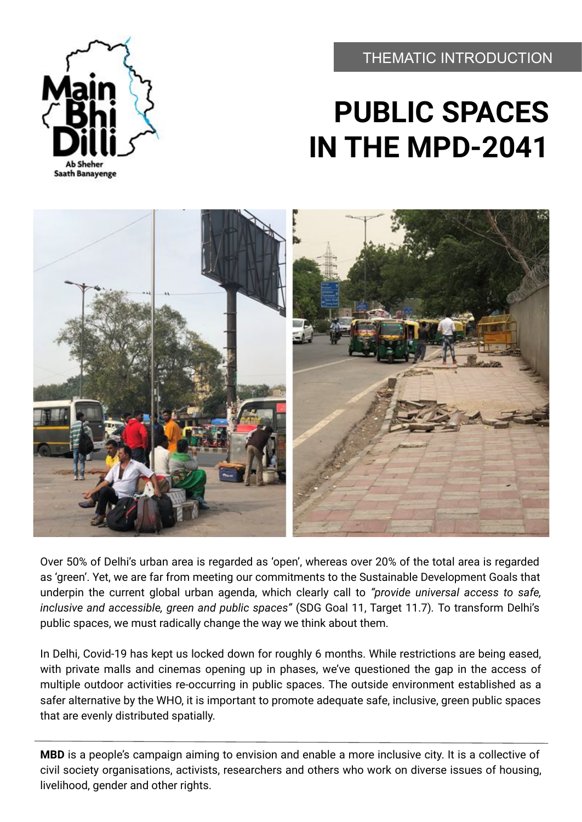THEMATIC INTRODUCTION



# **PUBLIC SPACES IN THE MPD-2041**



Over 50% of Delhi's urban area is regarded as 'open', whereas over 20% of the total area is regarded as 'green'. Yet, we are far from meeting our commitments to the Sustainable Development Goals that underpin the current global urban agenda, which clearly call to *"provide universal access to safe, inclusive and accessible, green and public spaces"* (SDG Goal 11, Target 11.7)*.* To transform Delhi's public spaces, we must radically change the way we think about them.

In Delhi, Covid-19 has kept us locked down for roughly 6 months. While restrictions are being eased, with private malls and cinemas opening up in phases, we've questioned the gap in the access of multiple outdoor activities re-occurring in public spaces. The outside environment established as a safer alternative by the WHO, it is important to promote adequate safe, inclusive, green public spaces that are evenly distributed spatially.

**MBD** is a people's campaign aiming to envision and enable a more inclusive city. It is a collective of civil society organisations, activists, researchers and others who work on diverse issues of housing, livelihood, gender and other rights.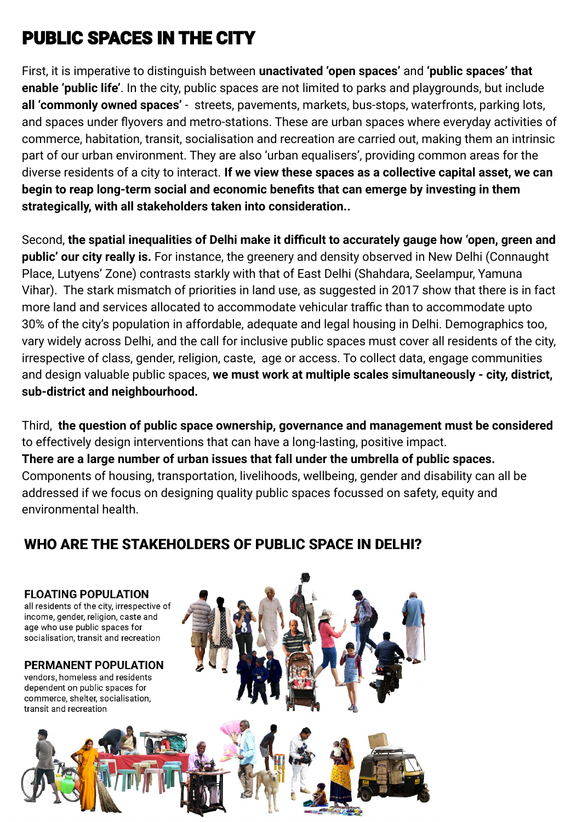## **PUBLIC SPACES IN THE CITY**

First, it is imperative to distinguish between **unactivated 'open spaces'** and **'public spaces' that enable 'public life'**. In the city, public spaces are not limited to parks and playgrounds, but include **all 'commonly owned spaces'** - streets, pavements, markets, bus-stops, waterfronts, parking lots, and spaces under flyovers and metro-stations. These are urban spaces where everyday activities of commerce, habitation, transit, socialisation and recreation are carried out, making them an intrinsic part of our urban environment. They are also 'urban equalisers', providing common areas for the diverse residents of a city to interact. **If we view these spaces as a collective capital asset, we can begin to reap long-term social and economic benefits that can emerge by investing in them strategically, with all stakeholders taken into consideration..**

Second, **the spatial inequalities of Delhi make it difficult to accurately gauge how 'open, green and public' our city really is.** For instance, the greenery and density observed in New Delhi (Connaught Place, Lutyens' Zone) contrasts starkly with that of East Delhi (Shahdara, Seelampur, Yamuna Vihar). The stark mismatch of priorities in land use, as suggested in 2017 show that there is in fact more land and services allocated to accommodate vehicular traffic than to accommodate upto 30% of the city's population in affordable, adequate and legal housing in Delhi. Demographics too, vary widely across Delhi, and the call for inclusive public spaces must cover all residents of the city, irrespective of class, gender, religion, caste, age or access. To collect data, engage communities and design valuable public spaces, **we must work at multiple scales simultaneously - city, district, sub-district and neighbourhood.**

Third, **the question of public space ownership, governance and management must be considered** to effectively design interventions that can have a long-lasting, positive impact. **There are a large number of urban issues that fall under the umbrella of public spaces.** Components of housing, transportation, livelihoods, wellbeing, gender and disability can all be addressed if we focus on designing quality public spaces focussed on safety, equity and environmental health.

### WHO ARE THE STAKEHOLDERS OF PUBLIC SPACE IN DELHI?

**FLOATING POPULATION** all residents of the city, irrespective of income, gender, religion, caste and age who use public spaces for socialisation, transit and recreation

**PERMANENT POPULATION** vendors, homeless and residents dependent on public spaces for commerce, shelter, socialisation, transit and recreation

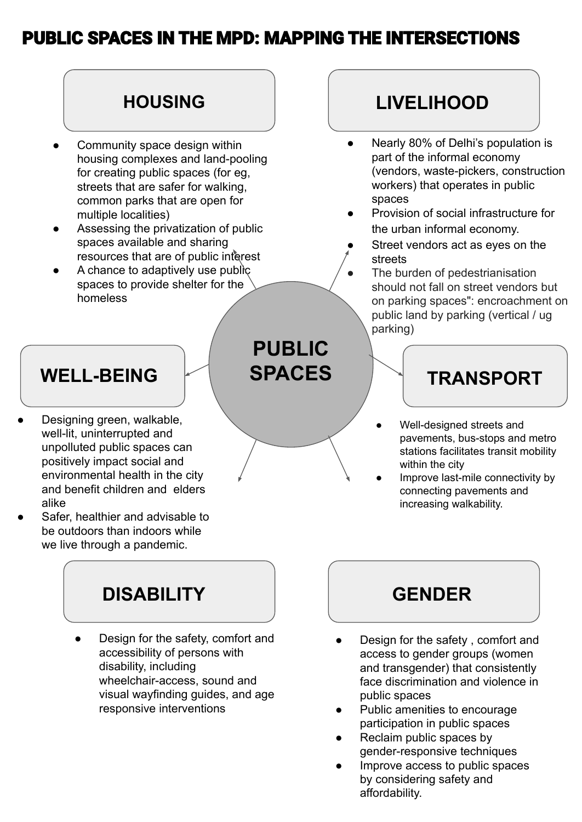### **PUBLIC SPACES IN THE MPD: MAPPING THE INTERSECTIONS**

#### **PUBLIC SPACES HOUSING WELL-BEING LIVELIHOOD TRANSPORT** Community space design within housing complexes and land-pooling for creating public spaces (for eg, streets that are safer for walking, common parks that are open for multiple localities) Assessing the privatization of public spaces available and sharing resources that are of public interest A chance to adaptively use public spaces to provide shelter for the homeless Designing green, walkable, well-lit, uninterrupted and unpolluted public spaces can positively impact social and environmental health in the city and benefit children and elders alike Safer, healthier and advisable to be outdoors than indoors while ● Nearly 80% of Delhi's population is part of the informal economy (vendors, waste-pickers, construction workers) that operates in public spaces Provision of social infrastructure for the urban informal economy. Street vendors act as eyes on the streets The burden of pedestrianisation should not fall on street vendors but on parking spaces": encroachment on public land by parking (vertical / ug parking) Well-designed streets and pavements, bus-stops and metro stations facilitates transit mobility within the city Improve last-mile connectivity by connecting pavements and increasing walkability.

### **DISABILITY GENDER**

we live through a pandemic.

Design for the safety, comfort and accessibility of persons with disability, including wheelchair-access, sound and visual wayfinding guides, and age responsive interventions

- Design for the safety, comfort and access to gender groups (women and transgender) that consistently face discrimination and violence in public spaces
- Public amenities to encourage participation in public spaces
- Reclaim public spaces by gender-responsive techniques
- Improve access to public spaces by considering safety and affordability.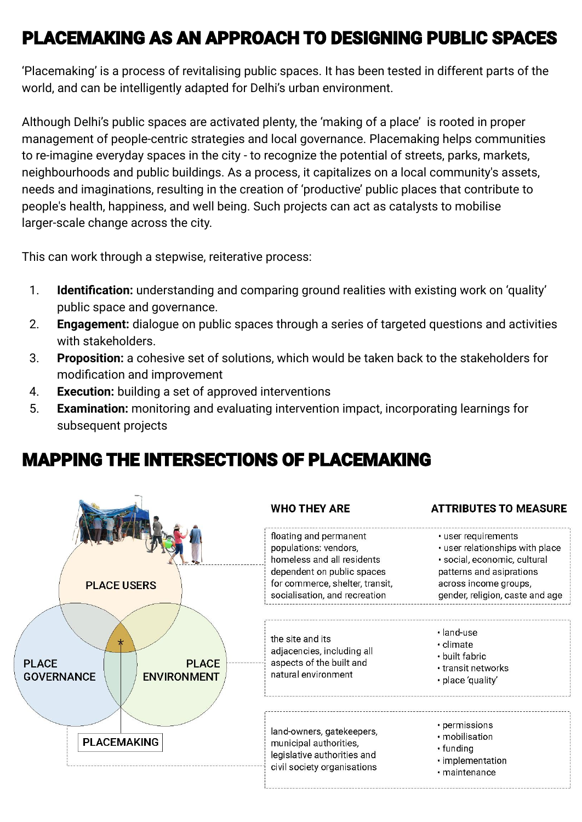### **PLACEMAKING AS AN APPROACH TO DESIGNING PUBLIC SPACES**

'Placemaking' is a process of revitalising public spaces. It has been tested in different parts of the world, and can be intelligently adapted for Delhi's urban environment.

Although Delhi's public spaces are activated plenty, the 'making of a place' is rooted in proper management of people-centric strategies and local governance. Placemaking helps communities to re-imagine everyday spaces in the city - to recognize the potential of streets, parks, markets, neighbourhoods and public buildings. As a process, it capitalizes on a local community's assets, needs and imaginations, resulting in the creation of 'productive' public places that contribute to people's health, happiness, and well being. Such projects can act as catalysts to mobilise larger-scale change across the city.

This can work through a stepwise, reiterative process:

- 1. **Identification:** understanding and comparing ground realities with existing work on 'quality' public space and governance.
- 2. **Engagement:** dialogue on public spaces through a series of targeted questions and activities with stakeholders.
- 3. **Proposition:** a cohesive set of solutions, which would be taken back to the stakeholders for modification and improvement
- 4. **Execution:** building a set of approved interventions
- 5. **Examination:** monitoring and evaluating intervention impact, incorporating learnings for subsequent projects

### **MAPPING THE INTERSECTIONS OF PLACEMAKING**